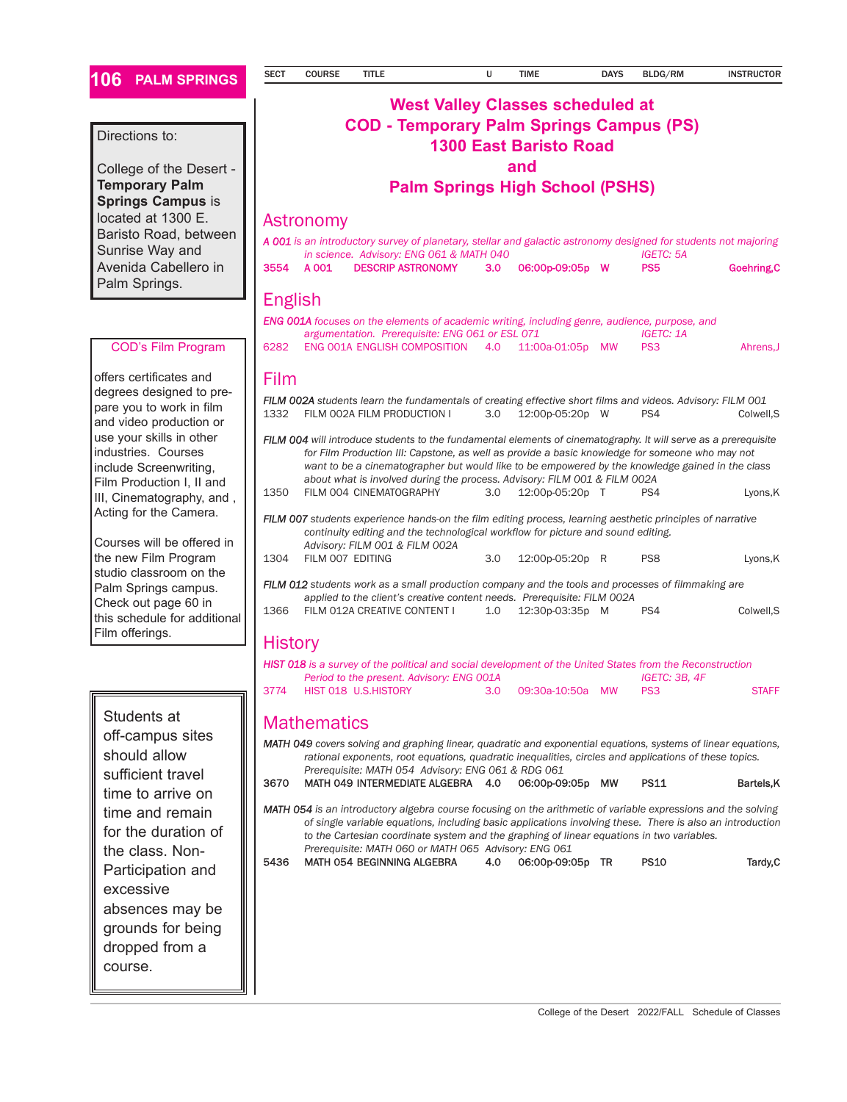#### **106 PALM SPRINGS**

#### Directions to:

College of the Desert - **Temporary Palm Springs Campus** is located at 1300 E. Baristo Road, between Sunrise Way and Avenida Cabellero in Palm Springs.

#### COD's Film Program

offers certificates and degrees designed to prepare you to work in film and video production or use your skills in other industries. Courses include Screenwriting, Film Production I, II and III, Cinematography, and , Acting for the Camera.

Courses will be offered in the new Film Program studio classroom on the Palm Springs campus. Check out page 60 in this schedule for additional Film offerings.

Students at off-campus sites should allow sufficient travel time to arrive on time and remain for the duration of the class. Non-Participation and excessive absences may be grounds for being dropped from a course.

## **West Valley Classes scheduled at COD - Temporary Palm Springs Campus (PS) 1300 East Baristo Road and**

**Palm Springs High School (PSHS)** 

### Astronomy

| A 001 is an introductory survey of planetary, stellar and galactic astronomy designed for students not majoring<br>in science. Advisory: ENG 061 & MATH 040<br><b>IGETC: 5A</b>                                                                                                                                                                                                                     |       |                                                                                                                                                               |     |                  |     |                                     |              |  |  |  |  |
|-----------------------------------------------------------------------------------------------------------------------------------------------------------------------------------------------------------------------------------------------------------------------------------------------------------------------------------------------------------------------------------------------------|-------|---------------------------------------------------------------------------------------------------------------------------------------------------------------|-----|------------------|-----|-------------------------------------|--------------|--|--|--|--|
| 3554                                                                                                                                                                                                                                                                                                                                                                                                | A 001 | <b>DESCRIP ASTRONOMY</b>                                                                                                                                      | 3.0 | 06:00p-09:05p W  |     | <b>PS5</b>                          | Goehring, C  |  |  |  |  |
| <b>English</b><br><b>ENG 001A</b> focuses on the elements of academic writing, including genre, audience, purpose, and                                                                                                                                                                                                                                                                              |       |                                                                                                                                                               |     |                  |     |                                     |              |  |  |  |  |
| 6282                                                                                                                                                                                                                                                                                                                                                                                                |       | argumentation. Prerequisite: ENG 061 or ESL 071<br>ENG 001A ENGLISH COMPOSITION                                                                               | 4.0 | 11:00a-01:05p MW |     | <b>IGETC: 1A</b><br>PS <sub>3</sub> |              |  |  |  |  |
|                                                                                                                                                                                                                                                                                                                                                                                                     |       |                                                                                                                                                               |     |                  |     |                                     | Ahrens, J    |  |  |  |  |
| Film                                                                                                                                                                                                                                                                                                                                                                                                |       |                                                                                                                                                               |     |                  |     |                                     |              |  |  |  |  |
| 1332                                                                                                                                                                                                                                                                                                                                                                                                |       | FILM 002A students learn the fundamentals of creating effective short films and videos. Advisory: FILM 001<br>FILM 002A FILM PRODUCTION I                     | 3.0 | 12:00p-05:20p W  |     | PS4                                 | Colwell, S   |  |  |  |  |
| FILM 004 will introduce students to the fundamental elements of cinematography. It will serve as a prerequisite<br>for Film Production III: Capstone, as well as provide a basic knowledge for someone who may not<br>want to be a cinematographer but would like to be empowered by the knowledge gained in the class<br>about what is involved during the process. Advisory: FILM 001 & FILM 002A |       |                                                                                                                                                               |     |                  |     |                                     |              |  |  |  |  |
| 1350                                                                                                                                                                                                                                                                                                                                                                                                |       | FILM 004 CINEMATOGRAPHY                                                                                                                                       | 3.0 | 12:00p-05:20p T  |     | PS4                                 | Lyons, K     |  |  |  |  |
| <b>FILM 007</b> students experience hands-on the film editing process, learning aesthetic principles of narrative<br>continuity editing and the technological workflow for picture and sound editing.<br>Advisory: FILM 001 & FILM 002A                                                                                                                                                             |       |                                                                                                                                                               |     |                  |     |                                     |              |  |  |  |  |
| 1304                                                                                                                                                                                                                                                                                                                                                                                                |       | FILM 007 EDITING                                                                                                                                              | 3.0 | 12:00p-05:20p R  |     | PS8                                 | Lyons, K     |  |  |  |  |
| FILM 012 students work as a small production company and the tools and processes of filmmaking are<br>applied to the client's creative content needs. Prerequisite: FILM 002A                                                                                                                                                                                                                       |       |                                                                                                                                                               |     |                  |     |                                     |              |  |  |  |  |
| 1366                                                                                                                                                                                                                                                                                                                                                                                                |       | FILM 012A CREATIVE CONTENT I                                                                                                                                  | 1.0 | 12:30p-03:35p    | - M | PS4                                 | Colwell, S   |  |  |  |  |
| <b>History</b>                                                                                                                                                                                                                                                                                                                                                                                      |       |                                                                                                                                                               |     |                  |     |                                     |              |  |  |  |  |
|                                                                                                                                                                                                                                                                                                                                                                                                     |       | <b>HIST 018</b> is a survey of the political and social development of the United States from the Reconstruction<br>Period to the present. Advisory: ENG 001A |     |                  |     | IGETC: 3B, 4F                       |              |  |  |  |  |
| 3774                                                                                                                                                                                                                                                                                                                                                                                                |       | HIST 018 U.S.HISTORY                                                                                                                                          | 3.0 | 09:30a-10:50a MW |     | PS <sub>3</sub>                     | <b>STAFF</b> |  |  |  |  |
| Mathematics                                                                                                                                                                                                                                                                                                                                                                                         |       |                                                                                                                                                               |     |                  |     |                                     |              |  |  |  |  |

**Mathematics** 

*MATH 049 covers solving and graphing linear, quadratic and exponential equations, systems of linear equations, rational exponents, root equations, quadratic inequalities, circles and applications of these topics. Prerequisite: MATH 054 Advisory: ENG 061 & RDG 061* 3670 MATH 049 INTERMEDIATE ALGEBRA 4.0 06:00p-09:05p MW PS11 Bartels,K

*MATH 054 is an introductory algebra course focusing on the arithmetic of variable expressions and the solving of single variable equations, including basic applications involving these. There is also an introduction to the Cartesian coordinate system and the graphing of linear equations in two variables. Prerequisite: MATH 060 or MATH 065 Advisory: ENG 061*

5436 MATH 054 BEGINNING ALGEBRA 4.0 06:00p-09:05p TR PS10 Tardy,C

#### College of the Desert 2022/FALL Schedule of Classes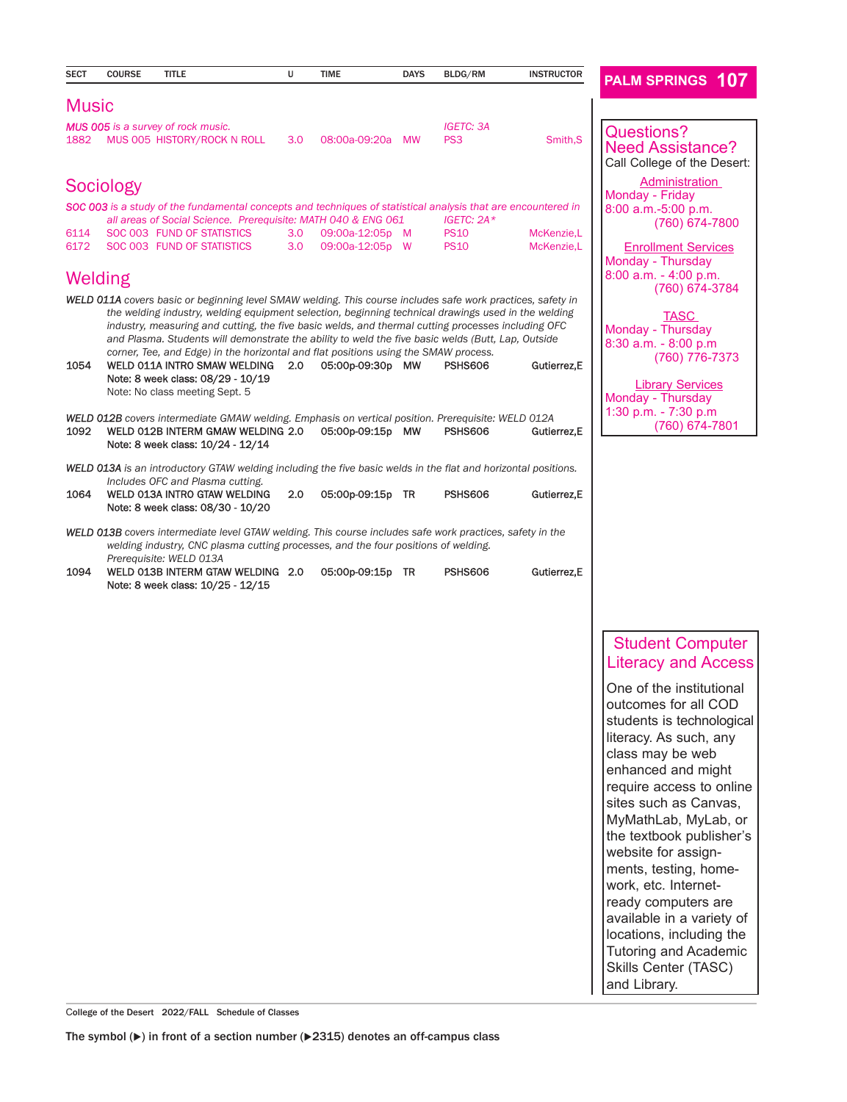| <b>SECT</b>                                                                                                    | <b>COURSE</b> | <b>TITLE</b>                                                                                                                                                                                                                                                                                                                                                                                           | Ù     | <b>TIME</b>      | <b>DAYS</b> | BLDG/RM          | <b>INSTRUCTOR</b> | <b>PALM SPRINGS 107</b>                                                                                                                           |  |  |
|----------------------------------------------------------------------------------------------------------------|---------------|--------------------------------------------------------------------------------------------------------------------------------------------------------------------------------------------------------------------------------------------------------------------------------------------------------------------------------------------------------------------------------------------------------|-------|------------------|-------------|------------------|-------------------|---------------------------------------------------------------------------------------------------------------------------------------------------|--|--|
| Music                                                                                                          |               |                                                                                                                                                                                                                                                                                                                                                                                                        |       |                  |             |                  |                   |                                                                                                                                                   |  |  |
|                                                                                                                |               |                                                                                                                                                                                                                                                                                                                                                                                                        |       |                  |             | <b>IGETC: 3A</b> |                   |                                                                                                                                                   |  |  |
| 1882                                                                                                           |               | <b>MUS 005</b> is a survey of rock music.<br>MUS 005 HISTORY/ROCK N ROLL                                                                                                                                                                                                                                                                                                                               | 3.0   | 08:00a-09:20a    | <b>MW</b>   | PS <sub>3</sub>  | Smith, S          | <b>Questions?</b><br><b>Need Assistance?</b><br>Call College of the Desert:                                                                       |  |  |
|                                                                                                                | Sociology     |                                                                                                                                                                                                                                                                                                                                                                                                        |       |                  |             |                  |                   | Administration                                                                                                                                    |  |  |
|                                                                                                                |               | SOC 003 is a study of the fundamental concepts and techniques of statistical analysis that are encountered in                                                                                                                                                                                                                                                                                          |       |                  |             | IGETC: $2A*$     |                   | Monday - Friday<br>8:00 a.m.-5:00 p.m.                                                                                                            |  |  |
| 6114                                                                                                           |               | all areas of Social Science. Prerequisite: MATH 040 & ENG 061<br>SOC 003 FUND OF STATISTICS                                                                                                                                                                                                                                                                                                            | 3.0   | 09:00a-12:05p M  |             | <b>PS10</b>      | McKenzie,L        | (760) 674-7800                                                                                                                                    |  |  |
| 6172                                                                                                           |               | SOC 003 FUND OF STATISTICS                                                                                                                                                                                                                                                                                                                                                                             | 3.0   | 09:00a-12:05p W  |             | <b>PS10</b>      | McKenzie,L        | <b>Enrollment Services</b>                                                                                                                        |  |  |
|                                                                                                                | Welding       |                                                                                                                                                                                                                                                                                                                                                                                                        |       |                  |             |                  |                   | Monday - Thursday<br>$8:00$ a.m. $-4:00$ p.m.                                                                                                     |  |  |
|                                                                                                                |               | <b>WELD 011A</b> covers basic or beginning level SMAW welding. This course includes safe work practices, safety in                                                                                                                                                                                                                                                                                     |       |                  |             |                  |                   | (760) 674-3784                                                                                                                                    |  |  |
|                                                                                                                |               | the welding industry, welding equipment selection, beginning technical drawings used in the welding<br>industry, measuring and cutting, the five basic welds, and thermal cutting processes including OFC<br>and Plasma. Students will demonstrate the ability to weld the five basic welds (Butt, Lap, Outside<br>corner, Tee, and Edge) in the horizontal and flat positions using the SMAW process. |       |                  |             |                  |                   | <b>TASC</b><br>Monday - Thursday<br>$8:30$ a.m. $-8:00$ p.m<br>(760) 776-7373                                                                     |  |  |
| 1054                                                                                                           |               | WELD 011A INTRO SMAW WELDING<br>Note: 8 week class: 08/29 - 10/19<br>Note: No class meeting Sept. 5                                                                                                                                                                                                                                                                                                    | - 2.0 | 05:00p-09:30p MW |             | <b>PSHS606</b>   | Gutierrez, E      | <b>Library Services</b><br>Monday - Thursday                                                                                                      |  |  |
| 1092                                                                                                           |               | WELD 012B covers intermediate GMAW welding. Emphasis on vertical position. Prerequisite: WELD 012A<br>WELD 012B INTERM GMAW WELDING 2.0<br>Note: 8 week class: 10/24 - 12/14                                                                                                                                                                                                                           |       | 05:00p-09:15p MW |             | <b>PSHS606</b>   | Gutierrez, E      | 1:30 p.m. - 7:30 p.m<br>(760) 674-7801                                                                                                            |  |  |
| WELD 013A is an introductory GTAW welding including the five basic welds in the flat and horizontal positions. |               |                                                                                                                                                                                                                                                                                                                                                                                                        |       |                  |             |                  |                   |                                                                                                                                                   |  |  |
| 1064                                                                                                           |               | Includes OFC and Plasma cutting.<br>WELD 013A INTRO GTAW WELDING<br>Note: 8 week class: 08/30 - 10/20                                                                                                                                                                                                                                                                                                  | 2.0   | 05:00p-09:15p TR |             | <b>PSHS606</b>   | Gutierrez, E      |                                                                                                                                                   |  |  |
|                                                                                                                |               | <b>WELD 013B</b> covers intermediate level GTAW welding. This course includes safe work practices, safety in the<br>welding industry, CNC plasma cutting processes, and the four positions of welding.<br>Prerequisite: WELD 013A                                                                                                                                                                      |       |                  |             |                  |                   |                                                                                                                                                   |  |  |
| 1094                                                                                                           |               | WELD 013B INTERM GTAW WELDING 2.0<br>Note: 8 week class: 10/25 - 12/15                                                                                                                                                                                                                                                                                                                                 |       | 05:00p-09:15p TR |             | <b>PSHS606</b>   | Gutierrez, E      |                                                                                                                                                   |  |  |
|                                                                                                                |               |                                                                                                                                                                                                                                                                                                                                                                                                        |       |                  |             |                  |                   |                                                                                                                                                   |  |  |
|                                                                                                                |               |                                                                                                                                                                                                                                                                                                                                                                                                        |       |                  |             |                  |                   | <b>Student Computer</b>                                                                                                                           |  |  |
|                                                                                                                |               |                                                                                                                                                                                                                                                                                                                                                                                                        |       |                  |             |                  |                   | <b>Literacy and Access</b>                                                                                                                        |  |  |
|                                                                                                                |               |                                                                                                                                                                                                                                                                                                                                                                                                        |       |                  |             |                  |                   | One of the institutional<br>outcomes for all COD<br>students is technological<br>literacy. As such, any<br>class may be web<br>anhanced and might |  |  |

enhanced and might require access to online sites such as Canvas, MyMathLab, MyLab, or the textbook publisher's website for assignments, testing, homework, etc. Internetready computers are available in a variety of locations, including the Tutoring and Academic Skills Center (TASC) and Library.

College of the Desert 2022/FALL Schedule of Classes